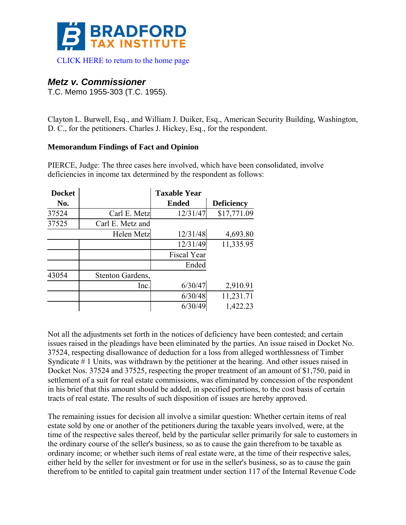

# *Metz v. Commissioner*

T.C. Memo 1955-303 (T.C. 1955).

Clayton L. Burwell, Esq., and William J. Duiker, Esq., American Security Building, Washington, D. C., for the petitioners. Charles J. Hickey, Esq., for the respondent.

## **Memorandum Findings of Fact and Opinion**

PIERCE, Judge: The three cases here involved, which have been consolidated, involve deficiencies in income tax determined by the respondent as follows:

| <b>Docket</b> |                  | <b>Taxable Year</b> |                   |
|---------------|------------------|---------------------|-------------------|
| No.           |                  | <b>Ended</b>        | <b>Deficiency</b> |
| 37524         | Carl E. Metz     | 12/31/47            | \$17,771.09       |
| 37525         | Carl E. Metz and |                     |                   |
|               | Helen Metz       | 12/31/48            | 4,693.80          |
|               |                  | 12/31/49            | 11,335.95         |
|               |                  | Fiscal Year         |                   |
|               |                  | Ended               |                   |
| 43054         | Stenton Gardens, |                     |                   |
|               | Inc.             | 6/30/47             | 2,910.91          |
|               |                  | 6/30/48             | 11,231.71         |
|               |                  | 6/30/49             | 1,422.23          |

Not all the adjustments set forth in the notices of deficiency have been contested; and certain issues raised in the pleadings have been eliminated by the parties. An issue raised in Docket No. 37524, respecting disallowance of deduction for a loss from alleged worthlessness of Timber Syndicate # 1 Units, was withdrawn by the petitioner at the hearing. And other issues raised in Docket Nos. 37524 and 37525, respecting the proper treatment of an amount of \$1,750, paid in settlement of a suit for real estate commissions, was eliminated by concession of the respondent in his brief that this amount should be added, in specified portions, to the cost basis of certain tracts of real estate. The results of such disposition of issues are hereby approved.

The remaining issues for decision all involve a similar question: Whether certain items of real estate sold by one or another of the petitioners during the taxable years involved, were, at the time of the respective sales thereof, held by the particular seller primarily for sale to customers in the ordinary course of the seller's business, so as to cause the gain therefrom to be taxable as ordinary income; or whether such items of real estate were, at the time of their respective sales, either held by the seller for investment or for use in the seller's business, so as to cause the gain therefrom to be entitled to capital gain treatment under section 117 of the Internal Revenue Code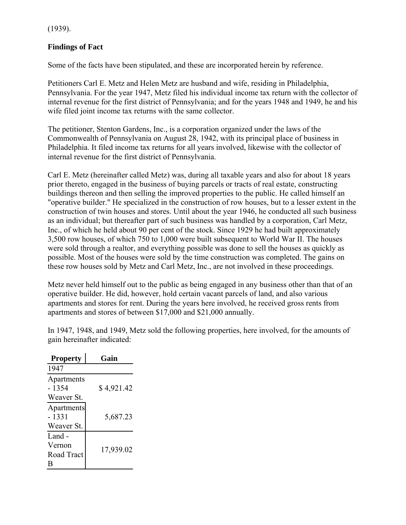(1939).

# **Findings of Fact**

Some of the facts have been stipulated, and these are incorporated herein by reference.

Petitioners Carl E. Metz and Helen Metz are husband and wife, residing in Philadelphia, Pennsylvania. For the year 1947, Metz filed his individual income tax return with the collector of internal revenue for the first district of Pennsylvania; and for the years 1948 and 1949, he and his wife filed joint income tax returns with the same collector.

The petitioner, Stenton Gardens, Inc., is a corporation organized under the laws of the Commonwealth of Pennsylvania on August 28, 1942, with its principal place of business in Philadelphia. It filed income tax returns for all years involved, likewise with the collector of internal revenue for the first district of Pennsylvania.

Carl E. Metz (hereinafter called Metz) was, during all taxable years and also for about 18 years prior thereto, engaged in the business of buying parcels or tracts of real estate, constructing buildings thereon and then selling the improved properties to the public. He called himself an "operative builder." He specialized in the construction of row houses, but to a lesser extent in the construction of twin houses and stores. Until about the year 1946, he conducted all such business as an individual; but thereafter part of such business was handled by a corporation, Carl Metz, Inc., of which he held about 90 per cent of the stock. Since 1929 he had built approximately 3,500 row houses, of which 750 to 1,000 were built subsequent to World War II. The houses were sold through a realtor, and everything possible was done to sell the houses as quickly as possible. Most of the houses were sold by the time construction was completed. The gains on these row houses sold by Metz and Carl Metz, Inc., are not involved in these proceedings.

Metz never held himself out to the public as being engaged in any business other than that of an operative builder. He did, however, hold certain vacant parcels of land, and also various apartments and stores for rent. During the years here involved, he received gross rents from apartments and stores of between \$17,000 and \$21,000 annually.

In 1947, 1948, and 1949, Metz sold the following properties, here involved, for the amounts of gain hereinafter indicated:

| <b>Property</b>                    | Gain       |
|------------------------------------|------------|
| 1947                               |            |
| Apartments<br>- 1354               | \$4,921.42 |
| Weaver St.                         |            |
| Apartments<br>- 1331<br>Weaver St. | 5,687.23   |
| Land -<br>Vernon<br>Road Tract     | 17,939.02  |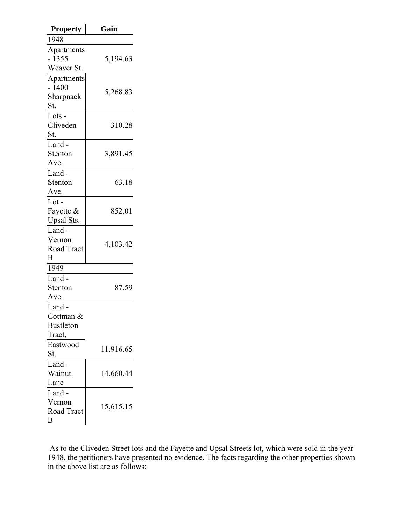| <b>Property</b>         | Gain      |  |  |  |
|-------------------------|-----------|--|--|--|
| 1948                    |           |  |  |  |
| Apartments              |           |  |  |  |
| $-1355$                 | 5,194.63  |  |  |  |
| Weaver St.              |           |  |  |  |
| Apartments              |           |  |  |  |
| $-1400$                 | 5,268.83  |  |  |  |
| Sharpnack               |           |  |  |  |
| St.                     |           |  |  |  |
| Lots $-$                |           |  |  |  |
| Cliveden                | 310.28    |  |  |  |
| St.                     |           |  |  |  |
| Land -                  |           |  |  |  |
| Stenton                 | 3,891.45  |  |  |  |
| Ave.                    |           |  |  |  |
| Land -                  |           |  |  |  |
| Stenton                 | 63.18     |  |  |  |
| Ave.                    |           |  |  |  |
| $Lot -$                 |           |  |  |  |
| Fayette &               | 852.01    |  |  |  |
| Upsal Sts.              |           |  |  |  |
| Land -                  |           |  |  |  |
| Vernon                  |           |  |  |  |
| Road Tract              | 4,103.42  |  |  |  |
| B                       |           |  |  |  |
| 1949                    |           |  |  |  |
| Land -                  |           |  |  |  |
| Stenton                 | 87.59     |  |  |  |
| Ave.                    |           |  |  |  |
| Land -                  |           |  |  |  |
| Cottman &               |           |  |  |  |
| <b>Bustleton</b>        |           |  |  |  |
| Tract,                  |           |  |  |  |
| Eastwood                |           |  |  |  |
| St.                     | 11,916.65 |  |  |  |
| Land -                  |           |  |  |  |
| Wainut                  | 14,660.44 |  |  |  |
| Lane                    |           |  |  |  |
| Land -                  |           |  |  |  |
| Vernon                  |           |  |  |  |
| 15,615.15<br>Road Tract |           |  |  |  |
| B                       |           |  |  |  |

 As to the Cliveden Street lots and the Fayette and Upsal Streets lot, which were sold in the year 1948, the petitioners have presented no evidence. The facts regarding the other properties shown in the above list are as follows: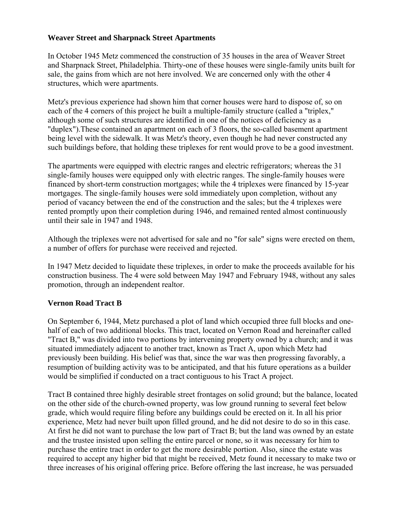### **Weaver Street and Sharpnack Street Apartments**

In October 1945 Metz commenced the construction of 35 houses in the area of Weaver Street and Sharpnack Street, Philadelphia. Thirty-one of these houses were single-family units built for sale, the gains from which are not here involved. We are concerned only with the other 4 structures, which were apartments.

Metz's previous experience had shown him that corner houses were hard to dispose of, so on each of the 4 corners of this project he built a multiple-family structure (called a "triplex," although some of such structures are identified in one of the notices of deficiency as a "duplex").These contained an apartment on each of 3 floors, the so-called basement apartment being level with the sidewalk. It was Metz's theory, even though he had never constructed any such buildings before, that holding these triplexes for rent would prove to be a good investment.

The apartments were equipped with electric ranges and electric refrigerators; whereas the 31 single-family houses were equipped only with electric ranges. The single-family houses were financed by short-term construction mortgages; while the 4 triplexes were financed by 15-year mortgages. The single-family houses were sold immediately upon completion, without any period of vacancy between the end of the construction and the sales; but the 4 triplexes were rented promptly upon their completion during 1946, and remained rented almost continuously until their sale in 1947 and 1948.

Although the triplexes were not advertised for sale and no "for sale" signs were erected on them, a number of offers for purchase were received and rejected.

In 1947 Metz decided to liquidate these triplexes, in order to make the proceeds available for his construction business. The 4 were sold between May 1947 and February 1948, without any sales promotion, through an independent realtor.

## **Vernon Road Tract B**

On September 6, 1944, Metz purchased a plot of land which occupied three full blocks and onehalf of each of two additional blocks. This tract, located on Vernon Road and hereinafter called "Tract B," was divided into two portions by intervening property owned by a church; and it was situated immediately adjacent to another tract, known as Tract A, upon which Metz had previously been building. His belief was that, since the war was then progressing favorably, a resumption of building activity was to be anticipated, and that his future operations as a builder would be simplified if conducted on a tract contiguous to his Tract A project.

Tract B contained three highly desirable street frontages on solid ground; but the balance, located on the other side of the church-owned property, was low ground running to several feet below grade, which would require filing before any buildings could be erected on it. In all his prior experience, Metz had never built upon filled ground, and he did not desire to do so in this case. At first he did not want to purchase the low part of Tract B; but the land was owned by an estate and the trustee insisted upon selling the entire parcel or none, so it was necessary for him to purchase the entire tract in order to get the more desirable portion. Also, since the estate was required to accept any higher bid that might be received, Metz found it necessary to make two or three increases of his original offering price. Before offering the last increase, he was persuaded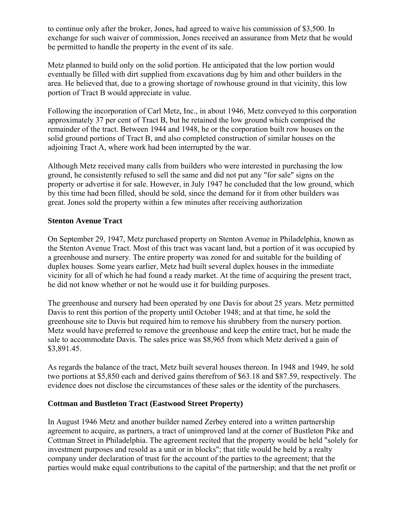to continue only after the broker, Jones, had agreed to waive his commission of \$3,500. In exchange for such waiver of commission, Jones received an assurance from Metz that he would be permitted to handle the property in the event of its sale.

Metz planned to build only on the solid portion. He anticipated that the low portion would eventually be filled with dirt supplied from excavations dug by him and other builders in the area. He believed that, due to a growing shortage of rowhouse ground in that vicinity, this low portion of Tract B would appreciate in value.

Following the incorporation of Carl Metz, Inc., in about 1946, Metz conveyed to this corporation approximately 37 per cent of Tract B, but he retained the low ground which comprised the remainder of the tract. Between 1944 and 1948, he or the corporation built row houses on the solid ground portions of Tract B, and also completed construction of similar houses on the adjoining Tract A, where work had been interrupted by the war.

Although Metz received many calls from builders who were interested in purchasing the low ground, he consistently refused to sell the same and did not put any "for sale" signs on the property or advertise it for sale. However, in July 1947 he concluded that the low ground, which by this time had been filled, should be sold, since the demand for it from other builders was great. Jones sold the property within a few minutes after receiving authorization

## **Stenton Avenue Tract**

On September 29, 1947, Metz purchased property on Stenton Avenue in Philadelphia, known as the Stenton Avenue Tract. Most of this tract was vacant land, but a portion of it was occupied by a greenhouse and nursery. The entire property was zoned for and suitable for the building of duplex houses. Some years earlier, Metz had built several duplex houses in the immediate vicinity for all of which he had found a ready market. At the time of acquiring the present tract, he did not know whether or not he would use it for building purposes.

The greenhouse and nursery had been operated by one Davis for about 25 years. Metz permitted Davis to rent this portion of the property until October 1948; and at that time, he sold the greenhouse site to Davis but required him to remove his shrubbery from the nursery portion. Metz would have preferred to remove the greenhouse and keep the entire tract, but he made the sale to accommodate Davis. The sales price was \$8,965 from which Metz derived a gain of \$3,891.45.

As regards the balance of the tract, Metz built several houses thereon. In 1948 and 1949, he sold two portions at \$5,850 each and derived gains therefrom of \$63.18 and \$87.59, respectively. The evidence does not disclose the circumstances of these sales or the identity of the purchasers.

## **Cottman and Bustleton Tract (Eastwood Street Property)**

In August 1946 Metz and another builder named Zerbey entered into a written partnership agreement to acquire, as partners, a tract of unimproved land at the corner of Bustleton Pike and Cottman Street in Philadelphia. The agreement recited that the property would be held "solely for investment purposes and resold as a unit or in blocks"; that title would be held by a realty company under declaration of trust for the account of the parties to the agreement; that the parties would make equal contributions to the capital of the partnership; and that the net profit or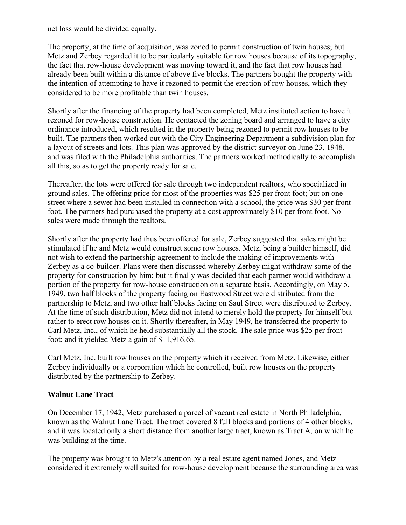net loss would be divided equally.

The property, at the time of acquisition, was zoned to permit construction of twin houses; but Metz and Zerbey regarded it to be particularly suitable for row houses because of its topography, the fact that row-house development was moving toward it, and the fact that row houses had already been built within a distance of above five blocks. The partners bought the property with the intention of attempting to have it rezoned to permit the erection of row houses, which they considered to be more profitable than twin houses.

Shortly after the financing of the property had been completed, Metz instituted action to have it rezoned for row-house construction. He contacted the zoning board and arranged to have a city ordinance introduced, which resulted in the property being rezoned to permit row houses to be built. The partners then worked out with the City Engineering Department a subdivision plan for a layout of streets and lots. This plan was approved by the district surveyor on June 23, 1948, and was filed with the Philadelphia authorities. The partners worked methodically to accomplish all this, so as to get the property ready for sale.

Thereafter, the lots were offered for sale through two independent realtors, who specialized in ground sales. The offering price for most of the properties was \$25 per front foot; but on one street where a sewer had been installed in connection with a school, the price was \$30 per front foot. The partners had purchased the property at a cost approximately \$10 per front foot. No sales were made through the realtors.

Shortly after the property had thus been offered for sale, Zerbey suggested that sales might be stimulated if he and Metz would construct some row houses. Metz, being a builder himself, did not wish to extend the partnership agreement to include the making of improvements with Zerbey as a co-builder. Plans were then discussed whereby Zerbey might withdraw some of the property for construction by him; but it finally was decided that each partner would withdraw a portion of the property for row-house construction on a separate basis. Accordingly, on May 5, 1949, two half blocks of the property facing on Eastwood Street were distributed from the partnership to Metz, and two other half blocks facing on Saul Street were distributed to Zerbey. At the time of such distribution, Metz did not intend to merely hold the property for himself but rather to erect row houses on it. Shortly thereafter, in May 1949, he transferred the property to Carl Metz, Inc., of which he held substantially all the stock. The sale price was \$25 per front foot; and it yielded Metz a gain of \$11,916.65.

Carl Metz, Inc. built row houses on the property which it received from Metz. Likewise, either Zerbey individually or a corporation which he controlled, built row houses on the property distributed by the partnership to Zerbey.

## **Walnut Lane Tract**

On December 17, 1942, Metz purchased a parcel of vacant real estate in North Philadelphia, known as the Walnut Lane Tract. The tract covered 8 full blocks and portions of 4 other blocks, and it was located only a short distance from another large tract, known as Tract A, on which he was building at the time.

The property was brought to Metz's attention by a real estate agent named Jones, and Metz considered it extremely well suited for row-house development because the surrounding area was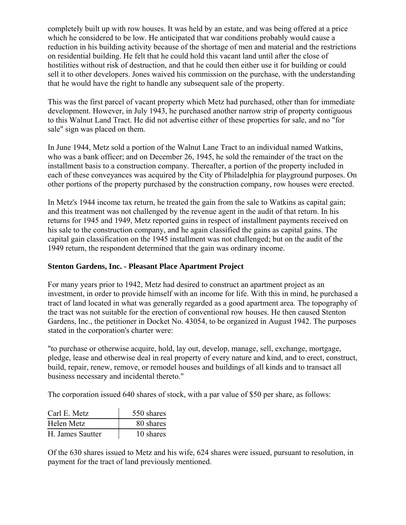completely built up with row houses. It was held by an estate, and was being offered at a price which he considered to be low. He anticipated that war conditions probably would cause a reduction in his building activity because of the shortage of men and material and the restrictions on residential building. He felt that he could hold this vacant land until after the close of hostilities without risk of destruction, and that he could then either use it for building or could sell it to other developers. Jones waived his commission on the purchase, with the understanding that he would have the right to handle any subsequent sale of the property.

This was the first parcel of vacant property which Metz had purchased, other than for immediate development. However, in July 1943, he purchased another narrow strip of property contiguous to this Walnut Land Tract. He did not advertise either of these properties for sale, and no "for sale" sign was placed on them.

In June 1944, Metz sold a portion of the Walnut Lane Tract to an individual named Watkins, who was a bank officer; and on December 26, 1945, he sold the remainder of the tract on the installment basis to a construction company. Thereafter, a portion of the property included in each of these conveyances was acquired by the City of Philadelphia for playground purposes. On other portions of the property purchased by the construction company, row houses were erected.

In Metz's 1944 income tax return, he treated the gain from the sale to Watkins as capital gain; and this treatment was not challenged by the revenue agent in the audit of that return. In his returns for 1945 and 1949, Metz reported gains in respect of installment payments received on his sale to the construction company, and he again classified the gains as capital gains. The capital gain classification on the 1945 installment was not challenged; but on the audit of the 1949 return, the respondent determined that the gain was ordinary income.

# **Stenton Gardens, Inc. - Pleasant Place Apartment Project**

For many years prior to 1942, Metz had desired to construct an apartment project as an investment, in order to provide himself with an income for life. With this in mind, he purchased a tract of land located in what was generally regarded as a good apartment area. The topography of the tract was not suitable for the erection of conventional row houses. He then caused Stenton Gardens, Inc., the petitioner in Docket No. 43054, to be organized in August 1942. The purposes stated in the corporation's charter were:

"to purchase or otherwise acquire, hold, lay out, develop, manage, sell, exchange, mortgage, pledge, lease and otherwise deal in real property of every nature and kind, and to erect, construct, build, repair, renew, remove, or remodel houses and buildings of all kinds and to transact all business necessary and incidental thereto."

The corporation issued 640 shares of stock, with a par value of \$50 per share, as follows:

| Carl E. Metz     | 550 shares |
|------------------|------------|
| Helen Metz       | 80 shares  |
| H. James Sautter | 10 shares  |

Of the 630 shares issued to Metz and his wife, 624 shares were issued, pursuant to resolution, in payment for the tract of land previously mentioned.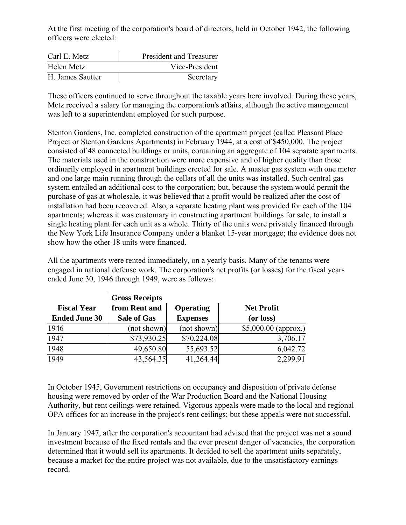At the first meeting of the corporation's board of directors, held in October 1942, the following officers were elected:

| Carl E. Metz     | President and Treasurer |
|------------------|-------------------------|
| Helen Metz       | Vice-President          |
| H. James Sautter | Secretary               |

These officers continued to serve throughout the taxable years here involved. During these years, Metz received a salary for managing the corporation's affairs, although the active management was left to a superintendent employed for such purpose.

Stenton Gardens, Inc. completed construction of the apartment project (called Pleasant Place Project or Stenton Gardens Apartments) in February 1944, at a cost of \$450,000. The project consisted of 48 connected buildings or units, containing an aggregate of 104 separate apartments. The materials used in the construction were more expensive and of higher quality than those ordinarily employed in apartment buildings erected for sale. A master gas system with one meter and one large main running through the cellars of all the units was installed. Such central gas system entailed an additional cost to the corporation; but, because the system would permit the purchase of gas at wholesale, it was believed that a profit would be realized after the cost of installation had been recovered. Also, a separate heating plant was provided for each of the 104 apartments; whereas it was customary in constructing apartment buildings for sale, to install a single heating plant for each unit as a whole. Thirty of the units were privately financed through the New York Life Insurance Company under a blanket 15-year mortgage; the evidence does not show how the other 18 units were financed.

All the apartments were rented immediately, on a yearly basis. Many of the tenants were engaged in national defense work. The corporation's net profits (or losses) for the fiscal years ended June 30, 1946 through 1949, were as follows:

|                      | <b>Gross Receipts</b> |                  |                       |  |
|----------------------|-----------------------|------------------|-----------------------|--|
| <b>Fiscal Year</b>   | from Rent and         | <b>Operating</b> | <b>Net Profit</b>     |  |
| <b>Ended June 30</b> | <b>Sale of Gas</b>    | <b>Expenses</b>  | (or loss)             |  |
| 1946                 | (not shown)           | (not shown)      | $$5,000.00$ (approx.) |  |
| 1947                 | \$73,930.25           | \$70,224.08      | 3,706.17              |  |
| 1948                 | 49,650.80             | 55,693.52        | 6,042.72              |  |
| 1949                 | 43,564.35             | 41,264.44        | 2,299.91              |  |

In October 1945, Government restrictions on occupancy and disposition of private defense housing were removed by order of the War Production Board and the National Housing Authority, but rent ceilings were retained. Vigorous appeals were made to the local and regional OPA offices for an increase in the project's rent ceilings; but these appeals were not successful.

In January 1947, after the corporation's accountant had advised that the project was not a sound investment because of the fixed rentals and the ever present danger of vacancies, the corporation determined that it would sell its apartments. It decided to sell the apartment units separately, because a market for the entire project was not available, due to the unsatisfactory earnings record.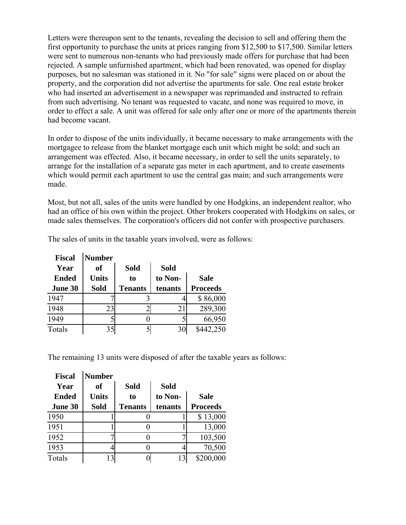Letters were thereupon sent to the tenants, revealing the decision to sell and offering them the first opportunity to purchase the units at prices ranging from \$12,500 to \$17,500. Similar letters were sent to numerous non-tenants who had previously made offers for purchase that had been rejected. A sample unfurnished apartment, which had been renovated, was opened for display purposes, but no salesman was stationed in it. No "for sale" signs were placed on or about the property, and the corporation did not advertise the apartments for sale. One real estate broker who had inserted an advertisement in a newspaper was reprimanded and instructed to refrain from such advertising. No tenant was requested to vacate, and none was required to move, in order to effect a sale. A unit was offered for sale only after one or more of the apartments therein had become vacant.

In order to dispose of the units individually, it became necessary to make arrangements with the mortgagee to release from the blanket mortgage each unit which might be sold; and such an arrangement was effected. Also, it became necessary, in order to sell the units separately, to arrange for the installation of a separate gas meter in each apartment, and to create easements which would permit each apartment to use the central gas main; and such arrangements were made.

Most, but not all, sales of the units were handled by one Hodgkins, an independent realtor, who had an office of his own within the project. Other brokers cooperated with Hodgkins on sales, or made sales themselves. The corporation's officers did not confer with prospective purchasers.

| <b>Fiscal</b> | <b>Number</b> |                |             |                 |
|---------------|---------------|----------------|-------------|-----------------|
| Year          | 0f            | <b>Sold</b>    | <b>Sold</b> |                 |
| <b>Ended</b>  | <b>Units</b>  | to             | to Non-     | <b>Sale</b>     |
| June 30       | <b>Sold</b>   | <b>Tenants</b> | tenants     | <b>Proceeds</b> |
| 1947          |               |                |             | \$86,000        |
| 1948          | 23            |                | 21          | 289,300         |
| 1949          |               |                |             | 66,950          |
| Totals        | 35            |                | 30          | \$442,250       |

The sales of units in the taxable years involved, were as follows:

The remaining 13 units were disposed of after the taxable years as follows:

| <b>Fiscal</b> | <b>Number</b> |                |             |                 |
|---------------|---------------|----------------|-------------|-----------------|
| Year          | 0f            | <b>Sold</b>    | <b>Sold</b> |                 |
| <b>Ended</b>  | <b>Units</b>  | to             | to Non-     | <b>Sale</b>     |
| June 30       | <b>Sold</b>   | <b>Tenants</b> | tenants     | <b>Proceeds</b> |
| 1950          |               |                |             | \$13,000        |
| 1951          |               |                |             | 13,000          |
| 1952          |               |                |             | 103,500         |
| 1953          |               |                |             | 70,500          |
| Totals        | 13            |                | 13          | \$200,000       |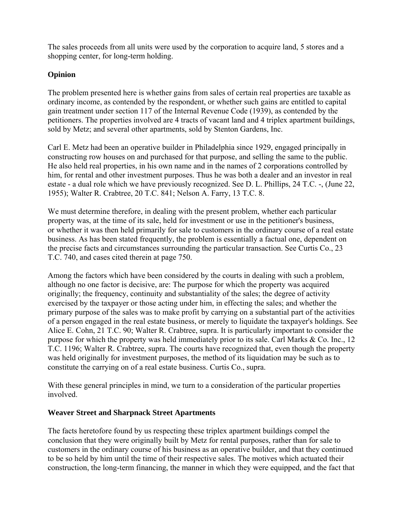The sales proceeds from all units were used by the corporation to acquire land, 5 stores and a shopping center, for long-term holding.

# **Opinion**

The problem presented here is whether gains from sales of certain real properties are taxable as ordinary income, as contended by the respondent, or whether such gains are entitled to capital gain treatment under section 117 of the Internal Revenue Code (1939), as contended by the petitioners. The properties involved are 4 tracts of vacant land and 4 triplex apartment buildings, sold by Metz; and several other apartments, sold by Stenton Gardens, Inc.

Carl E. Metz had been an operative builder in Philadelphia since 1929, engaged principally in constructing row houses on and purchased for that purpose, and selling the same to the public. He also held real properties, in his own name and in the names of 2 corporations controlled by him, for rental and other investment purposes. Thus he was both a dealer and an investor in real estate - a dual role which we have previously recognized. See D. L. Phillips, 24 T.C. -, (June 22, 1955); Walter R. Crabtree, 20 T.C. 841; Nelson A. Farry, 13 T.C. 8.

We must determine therefore, in dealing with the present problem, whether each particular property was, at the time of its sale, held for investment or use in the petitioner's business, or whether it was then held primarily for sale to customers in the ordinary course of a real estate business. As has been stated frequently, the problem is essentially a factual one, dependent on the precise facts and circumstances surrounding the particular transaction. See Curtis Co., 23 T.C. 740, and cases cited therein at page 750.

Among the factors which have been considered by the courts in dealing with such a problem, although no one factor is decisive, are: The purpose for which the property was acquired originally; the frequency, continuity and substantiality of the sales; the degree of activity exercised by the taxpayer or those acting under him, in effecting the sales; and whether the primary purpose of the sales was to make profit by carrying on a substantial part of the activities of a person engaged in the real estate business, or merely to liquidate the taxpayer's holdings. See Alice E. Cohn, 21 T.C. 90; Walter R. Crabtree, supra. It is particularly important to consider the purpose for which the property was held immediately prior to its sale. Carl Marks & Co. Inc., 12 T.C. 1196; Walter R. Crabtree, supra. The courts have recognized that, even though the property was held originally for investment purposes, the method of its liquidation may be such as to constitute the carrying on of a real estate business. Curtis Co., supra.

With these general principles in mind, we turn to a consideration of the particular properties involved.

## **Weaver Street and Sharpnack Street Apartments**

The facts heretofore found by us respecting these triplex apartment buildings compel the conclusion that they were originally built by Metz for rental purposes, rather than for sale to customers in the ordinary course of his business as an operative builder, and that they continued to be so held by him until the time of their respective sales. The motives which actuated their construction, the long-term financing, the manner in which they were equipped, and the fact that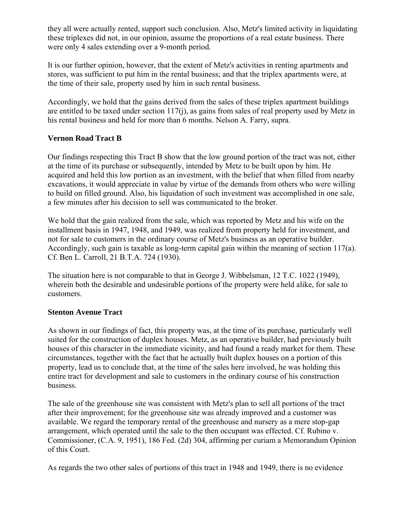they all were actually rented, support such conclusion. Also, Metz's limited activity in liquidating these triplexes did not, in our opinion, assume the proportions of a real estate business. There were only 4 sales extending over a 9-month period.

It is our further opinion, however, that the extent of Metz's activities in renting apartments and stores, was sufficient to put him in the rental business; and that the triplex apartments were, at the time of their sale, property used by him in such rental business.

Accordingly, we hold that the gains derived from the sales of these triplex apartment buildings are entitled to be taxed under section 117(j), as gains from sales of real property used by Metz in his rental business and held for more than 6 months. Nelson A. Farry, supra.

# **Vernon Road Tract B**

Our findings respecting this Tract B show that the low ground portion of the tract was not, either at the time of its purchase or subsequently, intended by Metz to be built upon by him. He acquired and held this low portion as an investment, with the belief that when filled from nearby excavations, it would appreciate in value by virtue of the demands from others who were willing to build on filled ground. Also, his liquidation of such investment was accomplished in one sale, a few minutes after his decision to sell was communicated to the broker.

We hold that the gain realized from the sale, which was reported by Metz and his wife on the installment basis in 1947, 1948, and 1949, was realized from property held for investment, and not for sale to customers in the ordinary course of Metz's business as an operative builder. Accordingly, such gain is taxable as long-term capital gain within the meaning of section 117(a). Cf. Ben L. Carroll, 21 B.T.A. 724 (1930).

The situation here is not comparable to that in George J. Wibbelsman, 12 T.C. 1022 (1949), wherein both the desirable and undesirable portions of the property were held alike, for sale to customers.

## **Stenton Avenue Tract**

As shown in our findings of fact, this property was, at the time of its purchase, particularly well suited for the construction of duplex houses. Metz, as an operative builder, had previously built houses of this character in the immediate vicinity, and had found a ready market for them. These circumstances, together with the fact that he actually built duplex houses on a portion of this property, lead us to conclude that, at the time of the sales here involved, he was holding this entire tract for development and sale to customers in the ordinary course of his construction business.

The sale of the greenhouse site was consistent with Metz's plan to sell all portions of the tract after their improvement; for the greenhouse site was already improved and a customer was available. We regard the temporary rental of the greenhouse and nursery as a mere stop-gap arrangement, which operated until the sale to the then occupant was effected. Cf. Rubino v. Commissioner, (C.A. 9, 1951), 186 Fed. (2d) 304, affirming per curiam a Memorandum Opinion of this Court.

As regards the two other sales of portions of this tract in 1948 and 1949, there is no evidence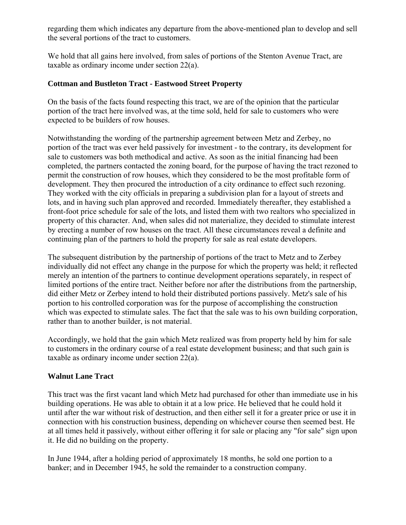regarding them which indicates any departure from the above-mentioned plan to develop and sell the several portions of the tract to customers.

We hold that all gains here involved, from sales of portions of the Stenton Avenue Tract, are taxable as ordinary income under section 22(a).

### **Cottman and Bustleton Tract - Eastwood Street Property**

On the basis of the facts found respecting this tract, we are of the opinion that the particular portion of the tract here involved was, at the time sold, held for sale to customers who were expected to be builders of row houses.

Notwithstanding the wording of the partnership agreement between Metz and Zerbey, no portion of the tract was ever held passively for investment - to the contrary, its development for sale to customers was both methodical and active. As soon as the initial financing had been completed, the partners contacted the zoning board, for the purpose of having the tract rezoned to permit the construction of row houses, which they considered to be the most profitable form of development. They then procured the introduction of a city ordinance to effect such rezoning. They worked with the city officials in preparing a subdivision plan for a layout of streets and lots, and in having such plan approved and recorded. Immediately thereafter, they established a front-foot price schedule for sale of the lots, and listed them with two realtors who specialized in property of this character. And, when sales did not materialize, they decided to stimulate interest by erecting a number of row houses on the tract. All these circumstances reveal a definite and continuing plan of the partners to hold the property for sale as real estate developers.

The subsequent distribution by the partnership of portions of the tract to Metz and to Zerbey individually did not effect any change in the purpose for which the property was held; it reflected merely an intention of the partners to continue development operations separately, in respect of limited portions of the entire tract. Neither before nor after the distributions from the partnership, did either Metz or Zerbey intend to hold their distributed portions passively. Metz's sale of his portion to his controlled corporation was for the purpose of accomplishing the construction which was expected to stimulate sales. The fact that the sale was to his own building corporation, rather than to another builder, is not material.

Accordingly, we hold that the gain which Metz realized was from property held by him for sale to customers in the ordinary course of a real estate development business; and that such gain is taxable as ordinary income under section 22(a).

## **Walnut Lane Tract**

This tract was the first vacant land which Metz had purchased for other than immediate use in his building operations. He was able to obtain it at a low price. He believed that he could hold it until after the war without risk of destruction, and then either sell it for a greater price or use it in connection with his construction business, depending on whichever course then seemed best. He at all times held it passively, without either offering it for sale or placing any "for sale" sign upon it. He did no building on the property.

In June 1944, after a holding period of approximately 18 months, he sold one portion to a banker; and in December 1945, he sold the remainder to a construction company.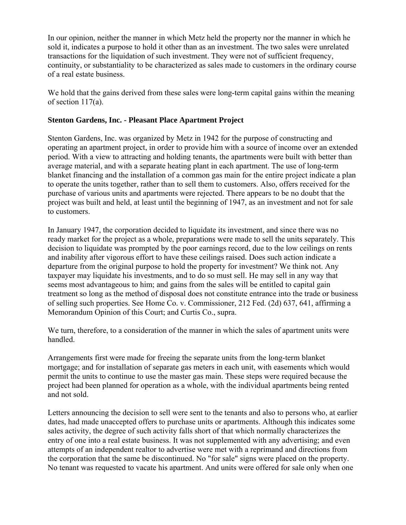In our opinion, neither the manner in which Metz held the property nor the manner in which he sold it, indicates a purpose to hold it other than as an investment. The two sales were unrelated transactions for the liquidation of such investment. They were not of sufficient frequency, continuity, or substantiality to be characterized as sales made to customers in the ordinary course of a real estate business.

We hold that the gains derived from these sales were long-term capital gains within the meaning of section 117(a).

### **Stenton Gardens, Inc. - Pleasant Place Apartment Project**

Stenton Gardens, Inc. was organized by Metz in 1942 for the purpose of constructing and operating an apartment project, in order to provide him with a source of income over an extended period. With a view to attracting and holding tenants, the apartments were built with better than average material, and with a separate heating plant in each apartment. The use of long-term blanket financing and the installation of a common gas main for the entire project indicate a plan to operate the units together, rather than to sell them to customers. Also, offers received for the purchase of various units and apartments were rejected. There appears to be no doubt that the project was built and held, at least until the beginning of 1947, as an investment and not for sale to customers.

In January 1947, the corporation decided to liquidate its investment, and since there was no ready market for the project as a whole, preparations were made to sell the units separately. This decision to liquidate was prompted by the poor earnings record, due to the low ceilings on rents and inability after vigorous effort to have these ceilings raised. Does such action indicate a departure from the original purpose to hold the property for investment? We think not. Any taxpayer may liquidate his investments, and to do so must sell. He may sell in any way that seems most advantageous to him; and gains from the sales will be entitled to capital gain treatment so long as the method of disposal does not constitute entrance into the trade or business of selling such properties. See Home Co. v. Commissioner, 212 Fed. (2d) 637, 641, affirming a Memorandum Opinion of this Court; and Curtis Co., supra.

We turn, therefore, to a consideration of the manner in which the sales of apartment units were handled.

Arrangements first were made for freeing the separate units from the long-term blanket mortgage; and for installation of separate gas meters in each unit, with easements which would permit the units to continue to use the master gas main. These steps were required because the project had been planned for operation as a whole, with the individual apartments being rented and not sold.

Letters announcing the decision to sell were sent to the tenants and also to persons who, at earlier dates, had made unaccepted offers to purchase units or apartments. Although this indicates some sales activity, the degree of such activity falls short of that which normally characterizes the entry of one into a real estate business. It was not supplemented with any advertising; and even attempts of an independent realtor to advertise were met with a reprimand and directions from the corporation that the same be discontinued. No "for sale" signs were placed on the property. No tenant was requested to vacate his apartment. And units were offered for sale only when one